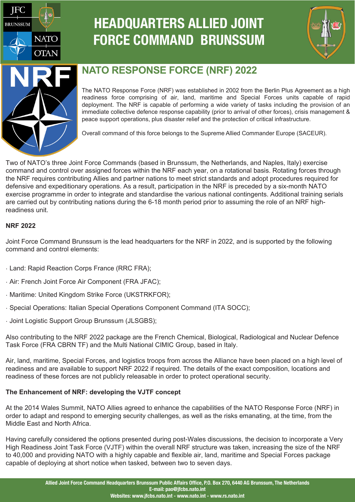

# **HEADQUARTERS ALLIED JOINT FORCE COMMAND BRUNSSUM**





## **NATO RESPONSE FORCE (NRF) 2022**

The NATO Response Force (NRF) was established in 2002 from the Berlin Plus Agreement as a high readiness force comprising of air, land, maritime and Special Forces units capable of rapid deployment. The NRF is capable of performing a wide variety of tasks including the provision of an immediate collective defence response capability (prior to arrival of other forces), crisis management & peace support operations, plus disaster relief and the protection of critical infrastructure.

Overall command of this force belongs to the Supreme Allied Commander Europe (SACEUR).

Two of NATO's three Joint Force Commands (based in Brunssum, the Netherlands, and Naples, Italy) exercise command and control over assigned forces within the NRF each year, on a rotational basis. Rotating forces through the NRF requires contributing Allies and partner nations to meet strict standards and adopt procedures required for defensive and expeditionary operations. As a result, participation in the NRF is preceded by a six-month NATO exercise programme in order to integrate and standardise the various national contingents. Additional training serials are carried out by contributing nations during the 6-18 month period prior to assuming the role of an NRF highreadiness unit.

### **NRF 2022**

Joint Force Command Brunssum is the lead headquarters for the NRF in 2022, and is supported by the following command and control elements:

- · Land: Rapid Reaction Corps France (RRC FRA);
- · Air: French Joint Force Air Component (FRA JFAC);
- · Maritime: United Kingdom Strike Force (UKSTRKFOR);
- · Special Operations: Italian Special Operations Component Command (ITA SOCC);
- · Joint Logistic Support Group Brunssum (JLSGBS);

Also contributing to the NRF 2022 package are the French Chemical, Biological, Radiological and Nuclear Defence Task Force (FRA CBRN TF) and the Multi National CIMIC Group, based in Italy.

Air, land, maritime, Special Forces, and logistics troops from across the Alliance have been placed on a high level of readiness and are available to support NRF 2022 if required. The details of the exact composition, locations and readiness of these forces are not publicly releasable in order to protect operational security.

### **The Enhancement of NRF: developing the VJTF concept**

At the 2014 Wales Summit, NATO Allies agreed to enhance the capabilities of the NATO Response Force (NRF) in order to adapt and respond to emerging security challenges, as well as the risks emanating, at the time, from the Middle East and North Africa.

Having carefully considered the options presented during post-Wales discussions, the decision to incorporate a Very High Readiness Joint Task Force (VJTF) within the overall NRF structure was taken, increasing the size of the NRF to 40,000 and providing NATO with a highly capable and flexible air, land, maritime and Special Forces package capable of deploying at short notice when tasked, between two to seven days.